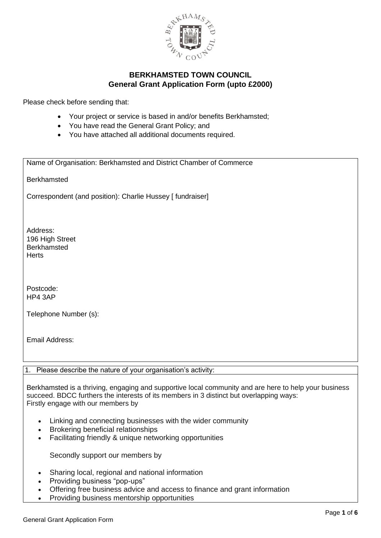

Please check before sending that:

- Your project or service is based in and/or benefits Berkhamsted;
- You have read the General Grant Policy; and
- You have attached all additional documents required.

Name of Organisation: Berkhamsted and District Chamber of Commerce

Berkhamsted

Correspondent (and position): Charlie Hussey [ fundraiser]

Address: 196 High Street **Berkhamsted Herts** 

Postcode: HP4 3AP

Telephone Number (s):

Email Address:

1. Please describe the nature of your organisation's activity:

Berkhamsted is a thriving, engaging and supportive local community and are here to help your business succeed. BDCC furthers the interests of its members in 3 distinct but overlapping ways: Firstly engage with our members by

- Linking and connecting businesses with the wider community
- Brokering beneficial relationships
- Facilitating friendly & unique networking opportunities

Secondly support our members by

- Sharing local, regional and national information
- Providing business "pop-ups"
- Offering free business advice and access to finance and grant information
- Providing business mentorship opportunities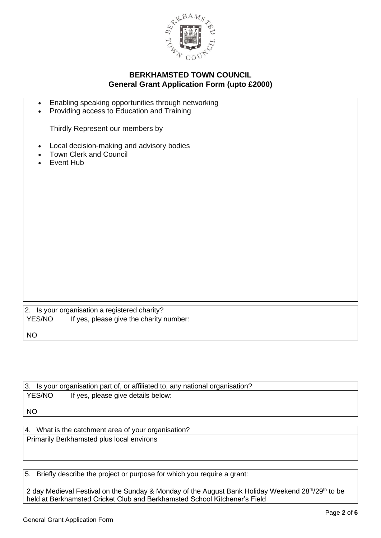

- Enabling speaking opportunities through networking
- Providing access to Education and Training

Thirdly Represent our members by

- Local decision-making and advisory bodies
- Town Clerk and Council
- Event Hub

|           | 2. Is your organisation a registered charity? |  |
|-----------|-----------------------------------------------|--|
| YES/NO    | If yes, please give the charity number:       |  |
| <b>NO</b> |                                               |  |

|           | 3. Is your organisation part of, or affiliated to, any national organisation? |
|-----------|-------------------------------------------------------------------------------|
| YES/NO    | If yes, please give details below:                                            |
|           |                                                                               |
| <b>NO</b> |                                                                               |
|           |                                                                               |

4. What is the catchment area of your organisation? Primarily Berkhamsted plus local environs

5. Briefly describe the project or purpose for which you require a grant:

2 day Medieval Festival on the Sunday & Monday of the August Bank Holiday Weekend 28<sup>th</sup>/29<sup>th</sup> to be held at Berkhamsted Cricket Club and Berkhamsted School Kitchener's Field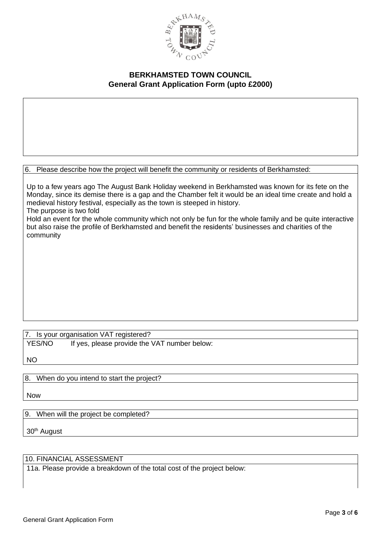

6. Please describe how the project will benefit the community or residents of Berkhamsted:

Up to a few years ago The August Bank Holiday weekend in Berkhamsted was known for its fete on the Monday, since its demise there is a gap and the Chamber felt it would be an ideal time create and hold a medieval history festival, especially as the town is steeped in history. The purpose is two fold

Hold an event for the whole community which not only be fun for the whole family and be quite interactive but also raise the profile of Berkhamsted and benefit the residents' businesses and charities of the community

## 7. Is your organisation VAT registered?

YES/NO If yes, please provide the VAT number below:

NO

## 8. When do you intend to start the project?

Now

9. When will the project be completed?

30th August

#### 10. FINANCIAL ASSESSMENT

11a. Please provide a breakdown of the total cost of the project below: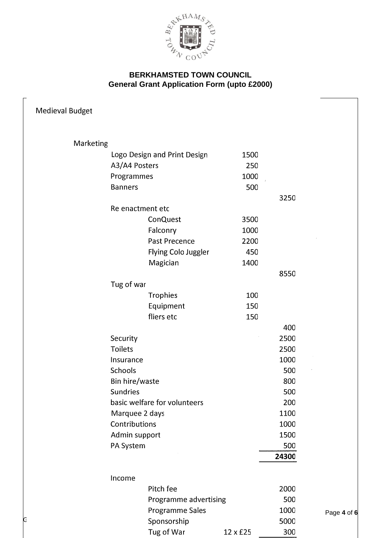

| Medieval Budget |                 |                              |          |       |           |
|-----------------|-----------------|------------------------------|----------|-------|-----------|
| Marketing       |                 |                              |          |       |           |
|                 |                 | Logo Design and Print Design | 1500     |       |           |
|                 | A3/A4 Posters   |                              | 250      |       |           |
|                 | Programmes      |                              | 1000     |       |           |
|                 | <b>Banners</b>  |                              | 500      |       |           |
|                 |                 |                              |          | 3250  |           |
|                 |                 | Re enactment etc             |          |       |           |
|                 |                 | <b>ConQuest</b>              | 3500     |       |           |
|                 |                 | Falconry                     | 1000     |       |           |
|                 |                 | Past Precence                | 2200     |       |           |
|                 |                 | Flying Colo Juggler          | 450      |       |           |
|                 |                 | Magician                     | 1400     |       |           |
|                 |                 |                              |          | 8550  |           |
|                 | Tug of war      |                              |          |       |           |
|                 |                 | <b>Trophies</b>              | 100      |       |           |
|                 |                 | Equipment                    | 150      |       |           |
|                 |                 | fliers etc                   | 150      |       |           |
|                 |                 |                              |          | 400   |           |
|                 | Security        |                              |          | 2500  |           |
|                 | <b>Toilets</b>  |                              |          | 2500  |           |
|                 | Insurance       |                              |          | 1000  |           |
|                 | Schools         |                              |          | 500   |           |
|                 | Bin hire/waste  |                              |          | 800   |           |
|                 | <b>Sundries</b> |                              |          | 500   |           |
|                 |                 | basic welfare for volunteers |          | 200   |           |
|                 |                 | Marquee 2 days               |          | 1100  |           |
|                 | Contributions   |                              |          | 1000  |           |
|                 |                 | Admin support                |          | 1500  |           |
|                 | PA System       |                              |          | 500   |           |
|                 |                 |                              |          | 24300 |           |
|                 |                 |                              |          |       |           |
|                 | Income          |                              |          |       |           |
|                 |                 | Pitch fee                    |          | 2000  |           |
|                 |                 | Programme advertising        |          | 500   |           |
|                 |                 | Programme Sales              |          | 1000  | Page 4 of |
| G               |                 | Sponsorship                  |          | 5000  |           |
|                 |                 | Tug of War                   | 12 x £25 | 300   |           |

Page **4** of **6**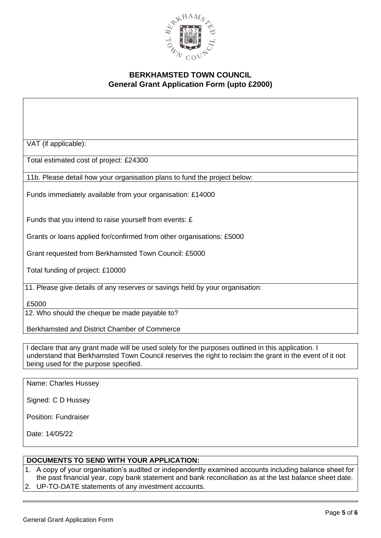

VAT (if applicable):

Total estimated cost of project: £24300

11b. Please detail how your organisation plans to fund the project below:

Funds immediately available from your organisation: £14000

Funds that you intend to raise yourself from events: £

Grants or loans applied for/confirmed from other organisations: £5000

Grant requested from Berkhamsted Town Council: £5000

Total funding of project: £10000

11. Please give details of any reserves or savings held by your organisation:

£5000

12. Who should the cheque be made payable to?

Berkhamsted and District Chamber of Commerce

I declare that any grant made will be used solely for the purposes outlined in this application. I understand that Berkhamsted Town Council reserves the right to reclaim the grant in the event of it not being used for the purpose specified.

Name: Charles Hussey

Signed: C D Hussey

Position: Fundraiser

Date: 14/05/22

#### **DOCUMENTS TO SEND WITH YOUR APPLICATION:**

1. A copy of your organisation's audited or independently examined accounts including balance sheet for the past financial year, copy bank statement and bank reconciliation as at the last balance sheet date. 2. UP-TO-DATE statements of any investment accounts.